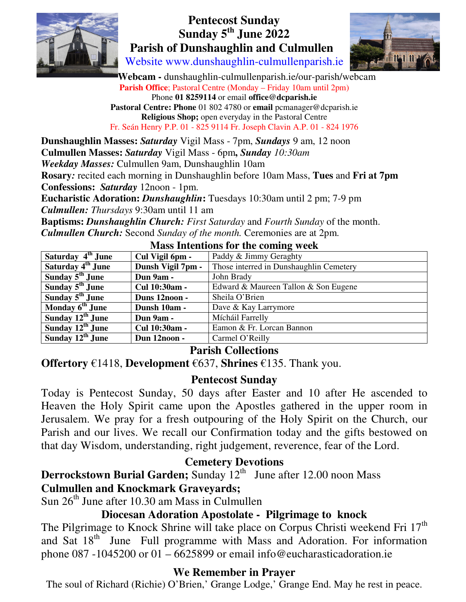

# **Pentecost Sunday Sunday 5th June 2022 Parish of Dunshaughlin and Culmullen**



Website www.dunshaughlin-culmullenparish.ie

 **Webcam -** dunshaughlin-culmullenparish.ie/our-parish/webcam **Parish Office**; Pastoral Centre (Monday – Friday 10am until 2pm) Phone **01 8259114** or email **office@dcparish.ie Pastoral Centre: Phone** 01 802 4780 or **email** pcmanager@dcparish.ie **Religious Shop;** open everyday in the Pastoral Centre Fr. Seán Henry P.P. 01 - 825 9114 Fr. Joseph Clavin A.P. 01 - 824 1976

**Dunshaughlin Masses:** *Saturday* Vigil Mass - 7pm, *Sundays* 9 am, 12 noon **Culmullen Masses:** *Saturday* Vigil Mass - 6pm**,** *Sunday 10:30am Weekday Masses:* Culmullen 9am, Dunshaughlin 10am **Rosary***:* recited each morning in Dunshaughlin before 10am Mass, **Tues** and **Fri at 7pm Confessions:** *Saturday* 12noon - 1pm. **Eucharistic Adoration:** *Dunshaughlin***:** Tuesdays 10:30am until 2 pm; 7-9 pm *Culmullen: Thursdays* 9:30am until 11 am **Baptisms:** *Dunshaughlin Church: First Saturday* and *Fourth Sunday* of the month.

*Culmullen Church:* Second *Sunday of the month.* Ceremonies are at 2pm.

| Saturday 4 <sup>th</sup> June | Cul Vigil 6pm -   | Paddy & Jimmy Geraghty                  |
|-------------------------------|-------------------|-----------------------------------------|
| Saturday 4 <sup>th</sup> June | Dunsh Vigil 7pm - | Those interred in Dunshaughlin Cemetery |
| Sunday $5th$ June             | Dun 9am -         | John Brady                              |
| Sunday $5th$ June             | Cul 10:30am -     | Edward & Maureen Tallon & Son Eugene    |
| Sunday $5th$ June             | Duns 12noon -     | Sheila O'Brien                          |
| Monday 6 <sup>th</sup> June   | Dunsh 10am -      | Dave & Kay Larrymore                    |
| Sunday 12 <sup>th</sup> June  | Dun 9am -         | Mícháil Farrelly                        |
| Sunday $12^{th}$ June         | Cul 10:30am -     | Eamon & Fr. Lorcan Bannon               |
| Sunday $12^{th}$ June         | Dun 12noon -      | Carmel O'Reilly                         |

#### **Mass Intentions for the coming week**

#### **Parish Collections**

**Offertory** €1418, **Development** €637, **Shrines** €135. Thank you.

#### **Pentecost Sunday**

Today is Pentecost Sunday, 50 days after Easter and 10 after He ascended to Heaven the Holy Spirit came upon the Apostles gathered in the upper room in Jerusalem. We pray for a fresh outpouring of the Holy Spirit on the Church, our Parish and our lives. We recall our Confirmation today and the gifts bestowed on that day Wisdom, understanding, right judgement, reverence, fear of the Lord.

#### **Cemetery Devotions**

**Derrockstown Burial Garden;** Sunday 12<sup>th</sup> June after 12.00 noon Mass **Culmullen and Knockmark Graveyards;**

Sun  $26<sup>th</sup>$  June after 10.30 am Mass in Culmullen

#### **Diocesan Adoration Apostolate - Pilgrimage to knock**

The Pilgrimage to Knock Shrine will take place on Corpus Christi weekend Fri  $17<sup>th</sup>$ and Sat 18<sup>th</sup> June Full programme with Mass and Adoration. For information phone 087 -1045200 or 01 – 6625899 or email info@eucharasticadoration.ie

#### **We Remember in Prayer**

The soul of Richard (Richie) O'Brien,' Grange Lodge,' Grange End. May he rest in peace.